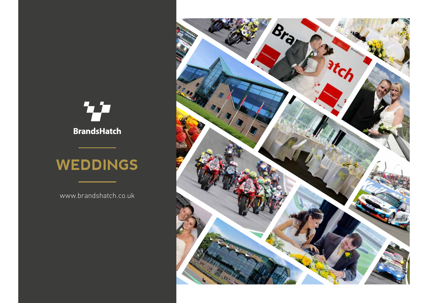



# **WEDDINGS**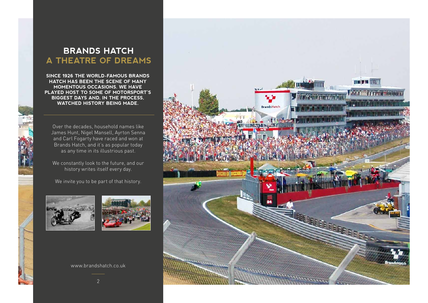# **BRANDS HATCH A THEATRE OF DREAMS**

**SINCE 1926 THE WORLD-FAMOUS BRANDS HATCH HAS BEEN THE SCENE OF MANY MOMENTOUS OCCASIONS. WE HAVE PLAYED HOST TO SOME OF MOTORSPORT'S BIGGEST DAYS AND, IN THE PROCESS, WATCHED HISTORY BEING MADE.**

Over the decades, household names like James Hunt, Nigel Mansell, Ayrton Senna and Carl Fogarty have raced and won at Brands Hatch, and it's as popular today as any time in its illustrious past.

We constantly look to the future, and our history writes itself every day.

We invite you to be part of that history.





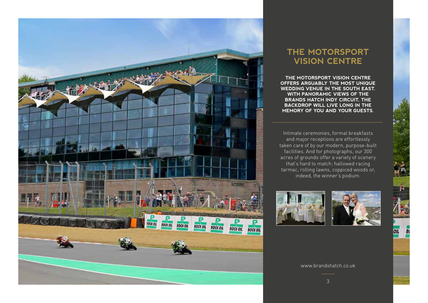

### **THE MOTORSPORT VISION CENTRE**

**THE MOTORSPORT VISION CENTRE OFFERS ARGUABLY THE MOST UNIQUE WEDDING VENUE IN THE SOUTH EAST. WITH PANORAMIC VIEWS OF THE BRANDS HATCH INDY CIRCUIT, THE BACKDROP WILL LIVE LONG IN THE MEMORY OF YOU AND YOUR GUESTS.**

Intimate ceremonies, formal breakfasts and major receptions are effortlessly taken care of by our modern, purpose-built facilities. And for photographs, our 300 acres of grounds offer a variety of scenery that's hard to match: hallowed racing tarmac, rolling lawns, coppiced woods or, indeed, the winner's podium.





OIL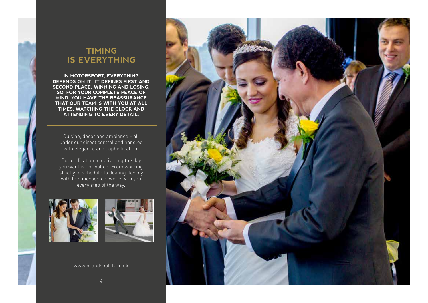### **TIMING IS EVERYTHING**

**IN MOTORSPORT, EVERYTHING DEPENDS ON IT. IT DEFINES FIRST AND SECOND PLACE. WINNING AND LOSING. SO, FOR YOUR COMPLETE PEACE OF MIND, YOU HAVE THE REASSURANCE THAT OUR TEAM IS WITH YOU AT ALL TIMES, WATCHING THE CLOCK AND ATTENDING TO EVERY DETAIL.**

Cuisine, décor and ambience – all under our direct control and handled with elegance and sophistication.

Our dedication to delivering the day you want is unrivalled. From working strictly to schedule to dealing flexibly with the unexpected, we're with you every step of the way.





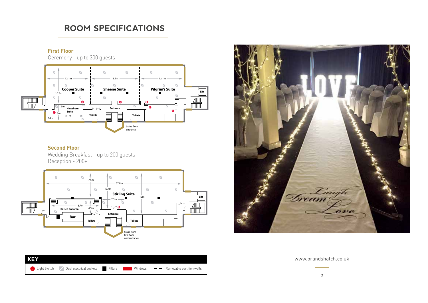## 4.5m 13.7m **Raised Bar area L ROOM SPECIFICATIONS**

#### **First Floor**

Ceremony - up to 300 guests

**Bar**



#### **Second Floor**

Wedding Breakfast - up to 200 guests Reception - 200+





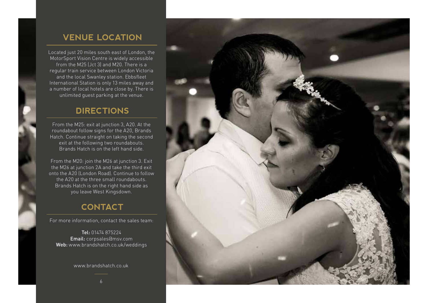# **VENUE LOCATION**

Located just 20 miles south east of London, the MotorSport Vision Centre is widely accessible from the M25 (Jct 3) and M20. There is a regular train service between London Victoria and the local Swanley station. Ebbsfleet International Station is only 13 miles away and a number of local hotels are close by. There is unlimited guest parking at the venue.

### **DIRECTIONS**

From the M25: exit at junction 3, A20. At the roundabout follow signs for the A20, Brands Hatch. Continue straight on taking the second exit at the following two roundabouts. Brands Hatch is on the left hand side.

From the M20: join the M26 at junction 3. Exit the M26 at junction 2A and take the third exit onto the A20 (London Road). Continue to follow the A20 at the three small roundabouts. Brands Hatch is on the right hand side as you leave West Kingsdown.

### **CONTACT**

For more information, contact the sales team:

Tel: 01474 875224 Email: corpsales@msv.com Web: www.brandshatch.co.uk/weddings